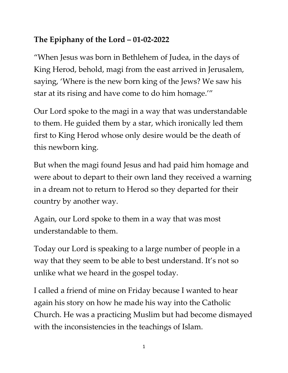## **The Epiphany of the Lord – 01-02-2022**

"When Jesus was born in Bethlehem of Judea, in the days of King Herod, behold, magi from the east arrived in Jerusalem, saying, 'Where is the new born king of the Jews? We saw his star at its rising and have come to do him homage.'"

Our Lord spoke to the magi in a way that was understandable to them. He guided them by a star, which ironically led them first to King Herod whose only desire would be the death of this newborn king.

But when the magi found Jesus and had paid him homage and were about to depart to their own land they received a warning in a dream not to return to Herod so they departed for their country by another way.

Again, our Lord spoke to them in a way that was most understandable to them.

Today our Lord is speaking to a large number of people in a way that they seem to be able to best understand. It's not so unlike what we heard in the gospel today.

I called a friend of mine on Friday because I wanted to hear again his story on how he made his way into the Catholic Church. He was a practicing Muslim but had become dismayed with the inconsistencies in the teachings of Islam.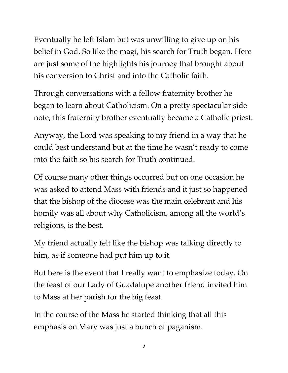Eventually he left Islam but was unwilling to give up on his belief in God. So like the magi, his search for Truth began. Here are just some of the highlights his journey that brought about his conversion to Christ and into the Catholic faith.

Through conversations with a fellow fraternity brother he began to learn about Catholicism. On a pretty spectacular side note, this fraternity brother eventually became a Catholic priest.

Anyway, the Lord was speaking to my friend in a way that he could best understand but at the time he wasn't ready to come into the faith so his search for Truth continued.

Of course many other things occurred but on one occasion he was asked to attend Mass with friends and it just so happened that the bishop of the diocese was the main celebrant and his homily was all about why Catholicism, among all the world's religions, is the best.

My friend actually felt like the bishop was talking directly to him, as if someone had put him up to it.

But here is the event that I really want to emphasize today. On the feast of our Lady of Guadalupe another friend invited him to Mass at her parish for the big feast.

In the course of the Mass he started thinking that all this emphasis on Mary was just a bunch of paganism.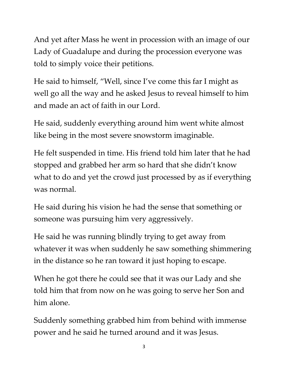And yet after Mass he went in procession with an image of our Lady of Guadalupe and during the procession everyone was told to simply voice their petitions.

He said to himself, "Well, since I've come this far I might as well go all the way and he asked Jesus to reveal himself to him and made an act of faith in our Lord.

He said, suddenly everything around him went white almost like being in the most severe snowstorm imaginable.

He felt suspended in time. His friend told him later that he had stopped and grabbed her arm so hard that she didn't know what to do and yet the crowd just processed by as if everything was normal.

He said during his vision he had the sense that something or someone was pursuing him very aggressively.

He said he was running blindly trying to get away from whatever it was when suddenly he saw something shimmering in the distance so he ran toward it just hoping to escape.

When he got there he could see that it was our Lady and she told him that from now on he was going to serve her Son and him alone.

Suddenly something grabbed him from behind with immense power and he said he turned around and it was Jesus.